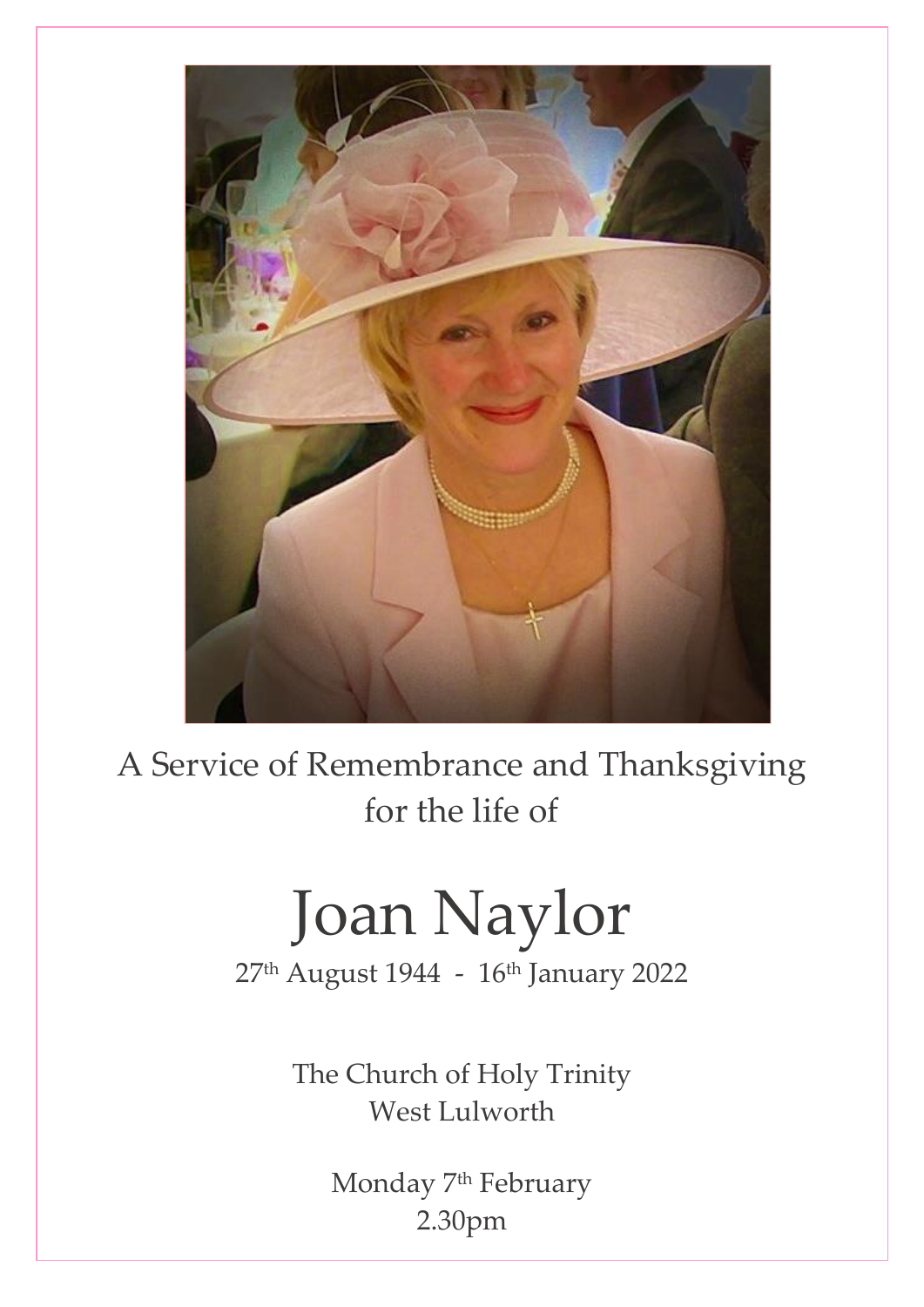

A Service of Remembrance and Thanksgiving for the life of

# Joan Naylor

27<sup>th</sup> August 1944 - 16<sup>th</sup> January 2022

The Church of Holy Trinity West Lulworth

> Monday 7<sup>th</sup> February 2.30pm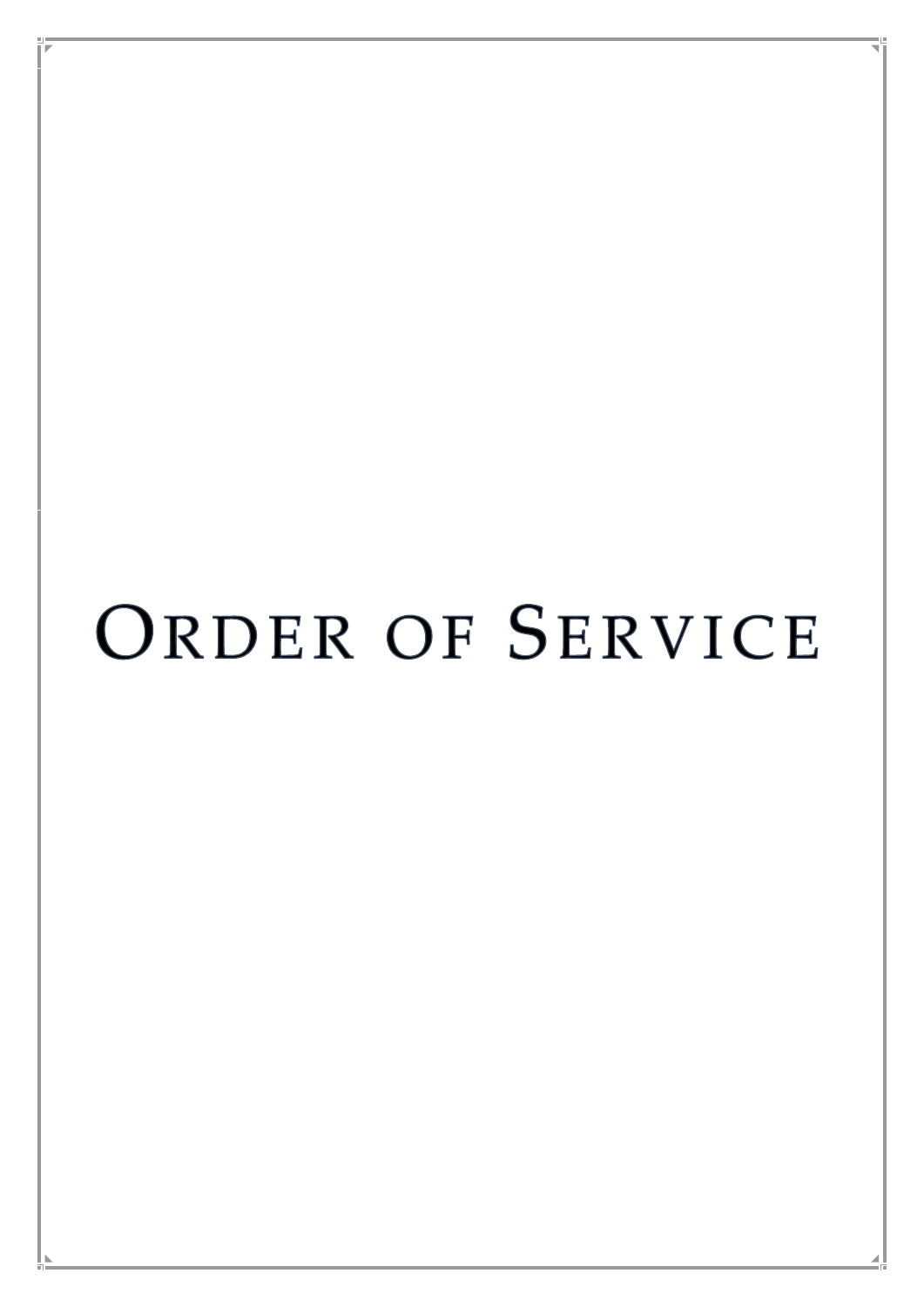# ORDER OF SERVICE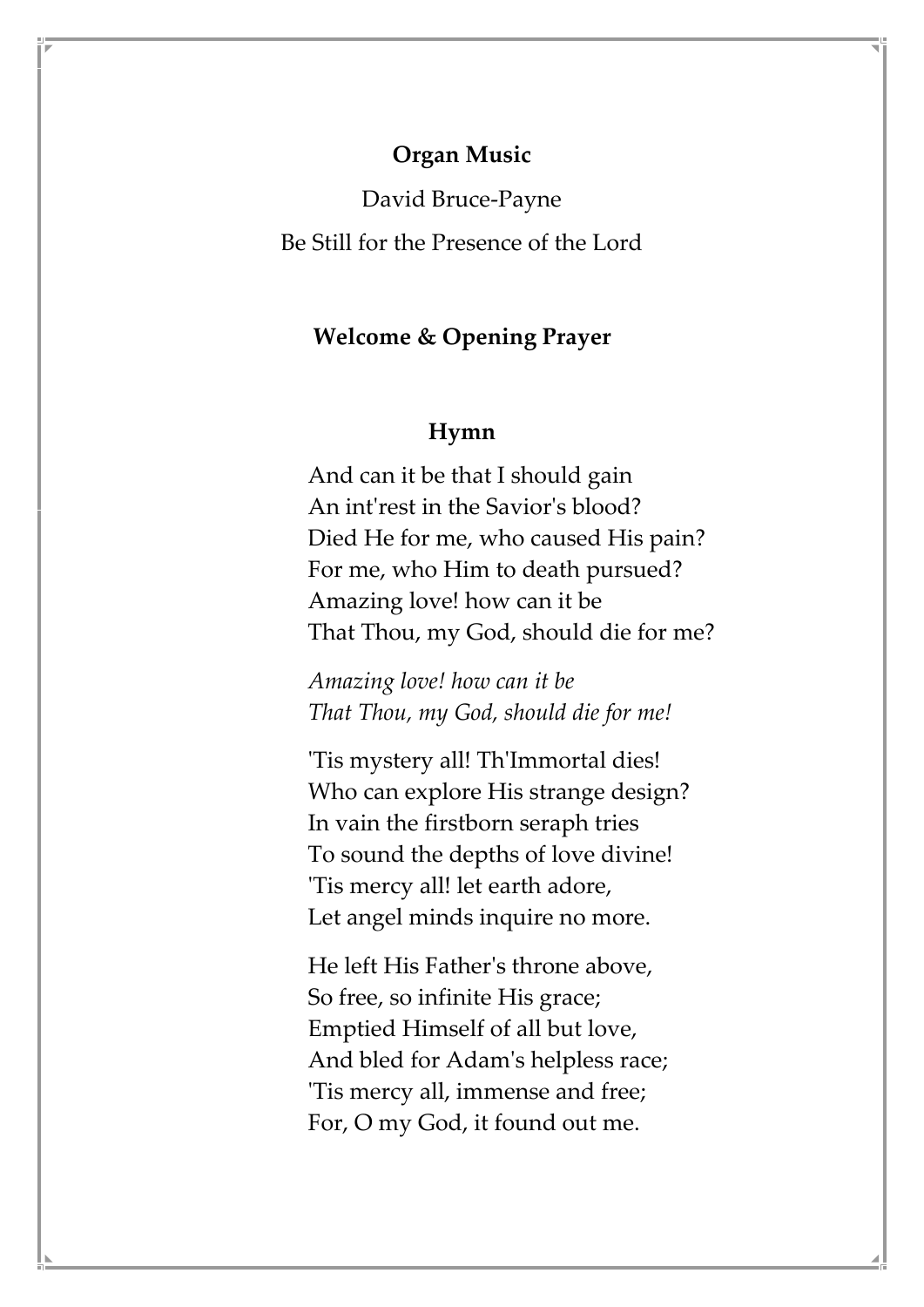## **Organ Music**

David Bruce-Payne

Be Still for the Presence of the Lord

# **Welcome & Opening Prayer**

#### **Hymn**

And can it be that I should gain An int'rest in the Savior's blood? Died He for me, who caused His pain? For me, who Him to death pursued? Amazing love! how can it be That Thou, my God, should die for me?

*Amazing love! how can it be That Thou, my God, should die for me!*

'Tis mystery all! Th'Immortal dies! Who can explore His strange design? In vain the firstborn seraph tries To sound the depths of love divine! 'Tis mercy all! let earth adore, Let angel minds inquire no more.

He left His Father's throne above, So free, so infinite His grace; Emptied Himself of all but love, And bled for Adam's helpless race; 'Tis mercy all, immense and free; For, O my God, it found out me.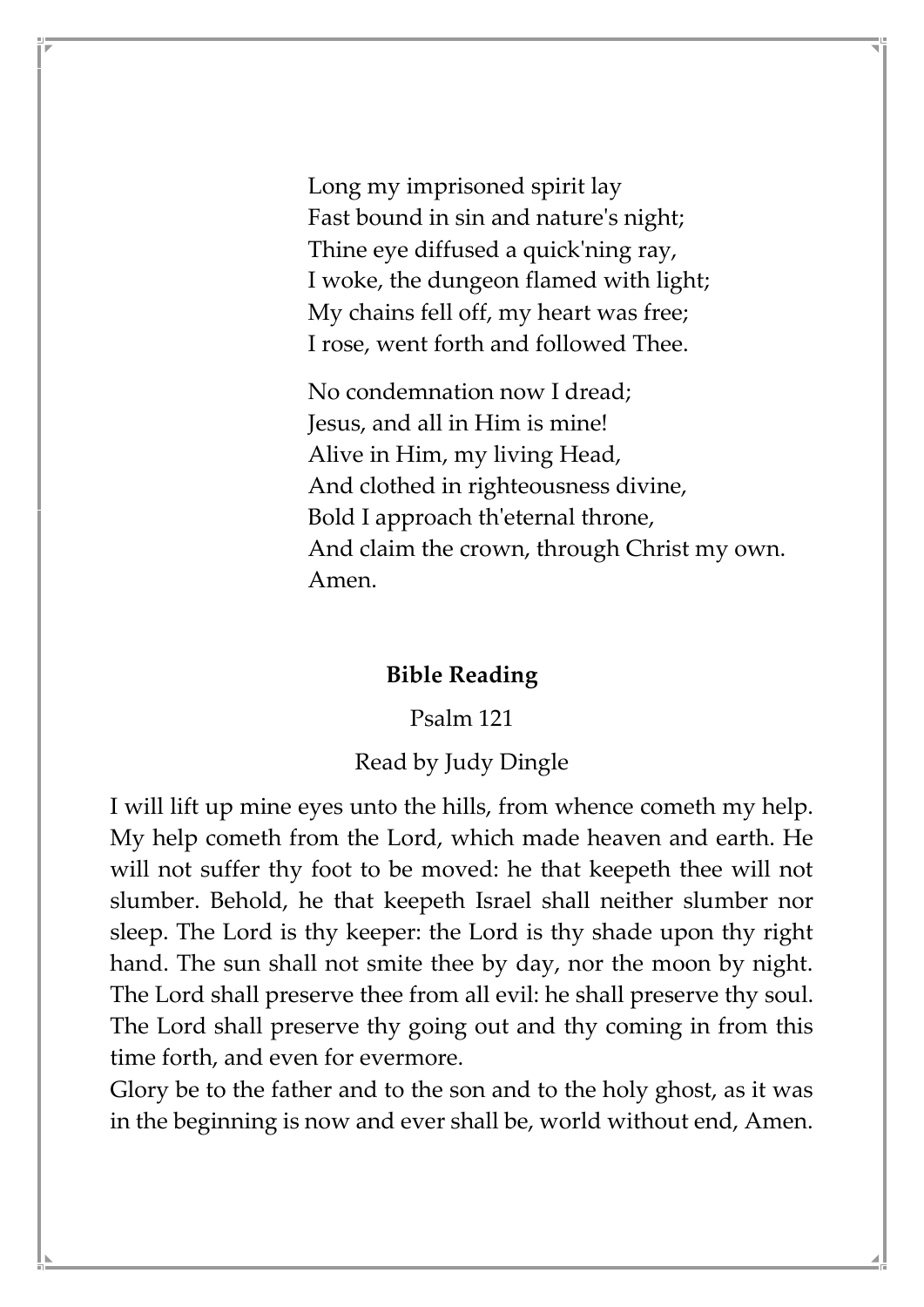Long my imprisoned spirit lay Fast bound in sin and nature's night; Thine eye diffused a quick'ning ray, I woke, the dungeon flamed with light; My chains fell off, my heart was free; I rose, went forth and followed Thee.

No condemnation now I dread; Jesus, and all in Him is mine! Alive in Him, my living Head, And clothed in righteousness divine, Bold I approach th'eternal throne, And claim the crown, through Christ my own. Amen.

# **Bible Reading**

Psalm 121

# Read by Judy Dingle

I will lift up mine eyes unto the hills, from whence cometh my help. My help cometh from the Lord, which made heaven and earth. He will not suffer thy foot to be moved: he that keepeth thee will not slumber. Behold, he that keepeth Israel shall neither slumber nor sleep. The Lord is thy keeper: the Lord is thy shade upon thy right hand. The sun shall not smite thee by day, nor the moon by night. The Lord shall preserve thee from all evil: he shall preserve thy soul. The Lord shall preserve thy going out and thy coming in from this time forth, and even for evermore.

Glory be to the father and to the son and to the holy ghost, as it was in the beginning is now and ever shall be, world without end, Amen.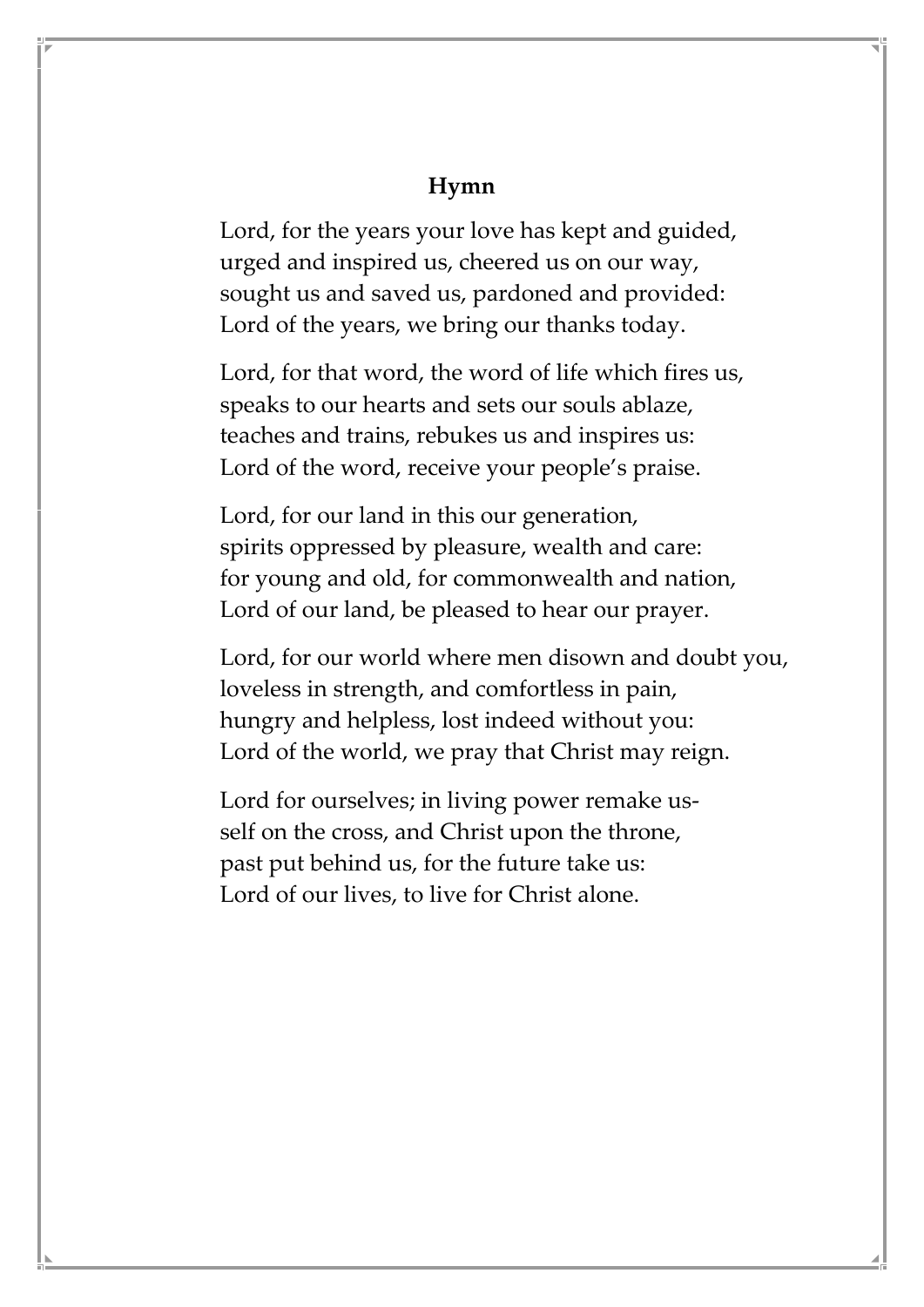# **Hymn**

Lord, for the years your love has kept and guided, urged and inspired us, cheered us on our way, sought us and saved us, pardoned and provided: Lord of the years, we bring our thanks today.

Lord, for that word, the word of life which fires us, speaks to our hearts and sets our souls ablaze, teaches and trains, rebukes us and inspires us: Lord of the word, receive your people's praise.

Lord, for our land in this our generation, spirits oppressed by pleasure, wealth and care: for young and old, for commonwealth and nation, Lord of our land, be pleased to hear our prayer.

Lord, for our world where men disown and doubt you, loveless in strength, and comfortless in pain, hungry and helpless, lost indeed without you: Lord of the world, we pray that Christ may reign.

Lord for ourselves; in living power remake usself on the cross, and Christ upon the throne, past put behind us, for the future take us: Lord of our lives, to live for Christ alone.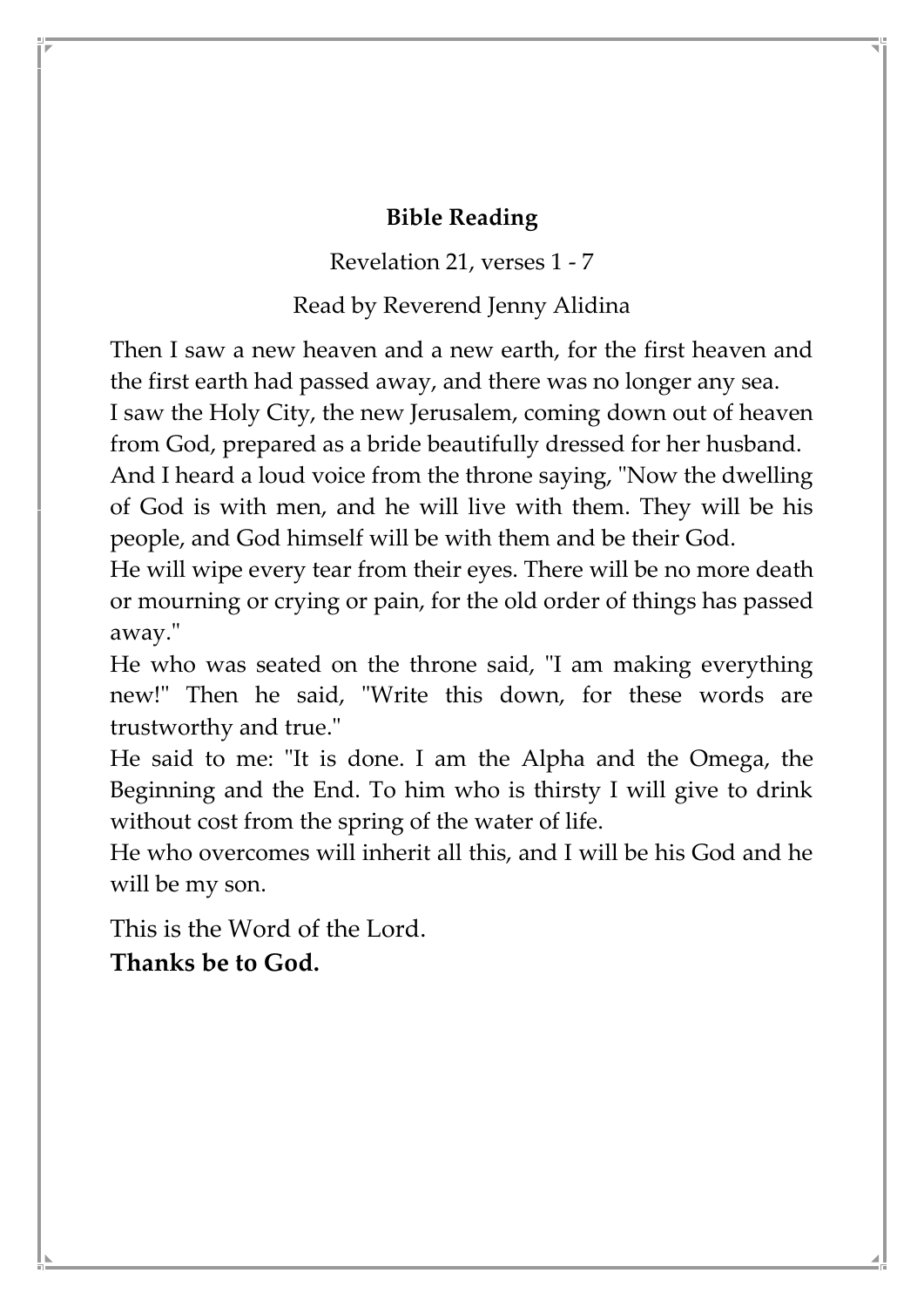# **Bible Reading**

Revelation 21, verses 1 - 7

Read by Reverend Jenny Alidina

Then I saw a new heaven and a new earth, for the first heaven and the first earth had passed away, and there was no longer any sea.

I saw the Holy City, the new Jerusalem, coming down out of heaven from God, prepared as a bride beautifully dressed for her husband.

And I heard a loud voice from the throne saying, "Now the dwelling of God is with men, and he will live with them. They will be his people, and God himself will be with them and be their God.

He will wipe every tear from their eyes. There will be no more death or mourning or crying or pain, for the old order of things has passed away."

He who was seated on the throne said, "I am making everything new!" Then he said, "Write this down, for these words are trustworthy and true."

He said to me: "It is done. I am the Alpha and the Omega, the Beginning and the End. To him who is thirsty I will give to drink without cost from the spring of the water of life.

He who overcomes will inherit all this, and I will be his God and he will be my son.

This is the Word of the Lord. **Thanks be to God.**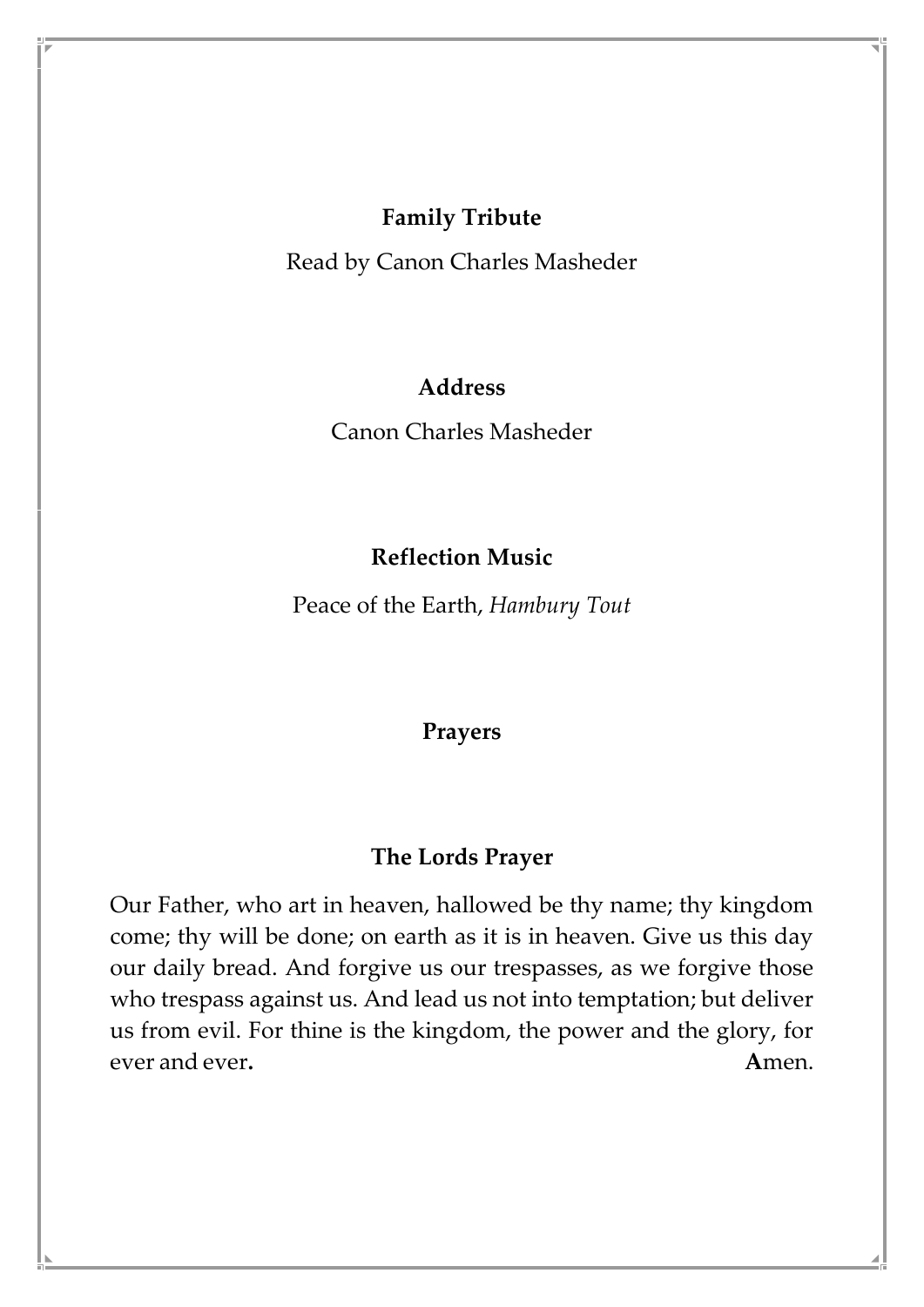# **Family Tribute**

Read by Canon Charles Masheder

# **Address**

Canon Charles Masheder

# **Reflection Music**

Peace of the Earth, *Hambury Tout*

#### **Prayers**

### **The Lords Prayer**

Our Father, who art in heaven, hallowed be thy name; thy kingdom come; thy will be done; on earth as it is in heaven. Give us this day our daily bread. And forgive us our trespasses, as we forgive those who trespass against us. And lead us not into temptation; but deliver us from evil. For thine is the kingdom, the power and the glory, for ever and ever.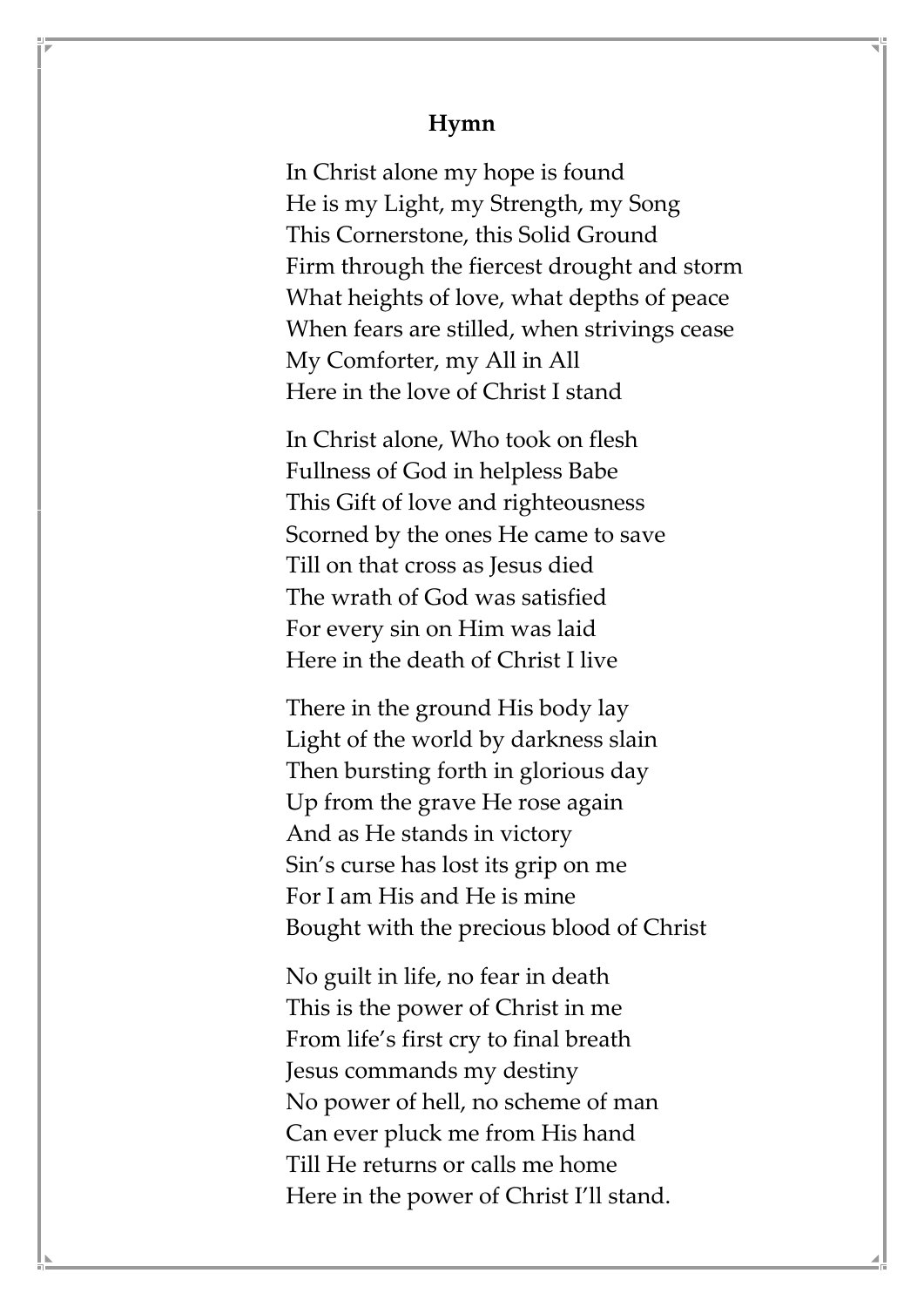#### **Hymn**

In Christ alone my hope is found He is my Light, my Strength, my Song This Cornerstone, this Solid Ground Firm through the fiercest drought and storm What heights of love, what depths of peace When fears are stilled, when strivings cease My Comforter, my All in All Here in the love of Christ I stand

In Christ alone, Who took on flesh Fullness of God in helpless Babe This Gift of love and righteousness Scorned by the ones He came to save Till on that cross as Jesus died The wrath of God was satisfied For every sin on Him was laid Here in the death of Christ I live

There in the ground His body lay Light of the world by darkness slain Then bursting forth in glorious day Up from the grave He rose again And as He stands in victory Sin's curse has lost its grip on me For I am His and He is mine Bought with the precious blood of Christ

No guilt in life, no fear in death This is the power of Christ in me From life's first cry to final breath Jesus commands my destiny No power of hell, no scheme of man Can ever pluck me from His hand Till He returns or calls me home Here in the power of Christ I'll stand.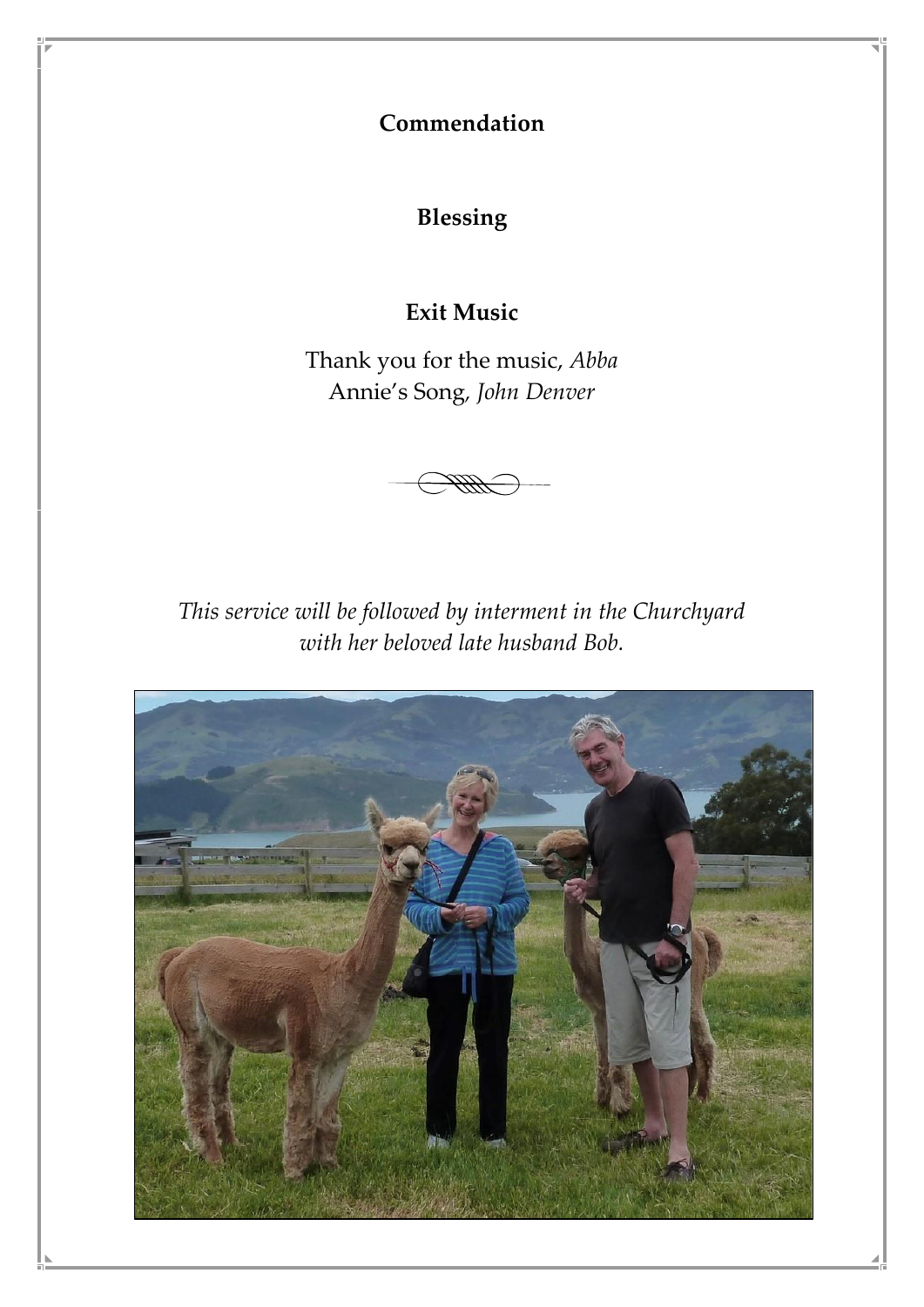**Commendation**

**Blessing**

**Exit Music**

Thank you for the music, *Abba* Annie's Song*, John Denver*



*This service will be followed by interment in the Churchyard with her beloved late husband Bob.*

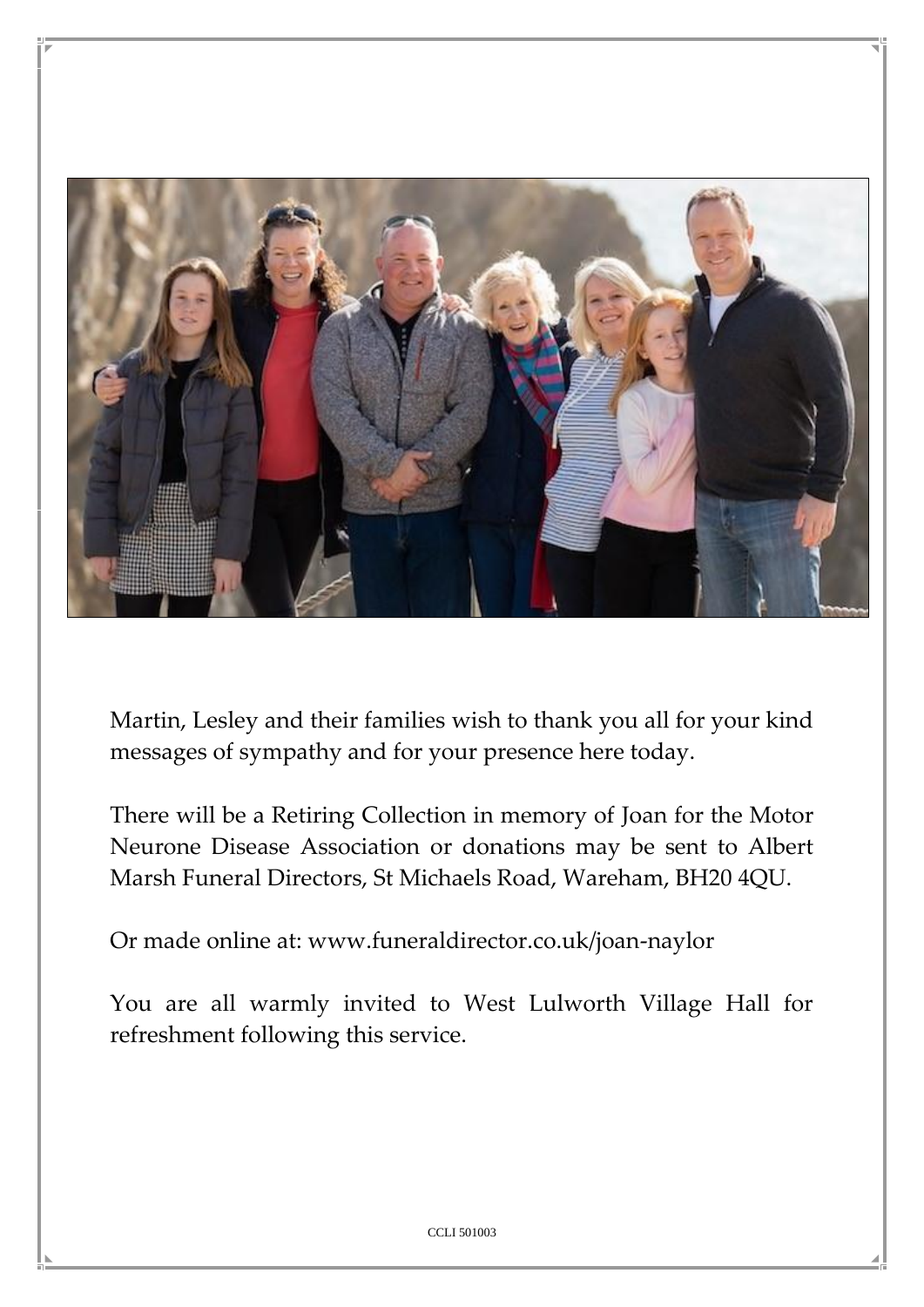

Martin, Lesley and their families wish to thank you all for your kind messages of sympathy and for your presence here today.

There will be a Retiring Collection in memory of Joan for the Motor Neurone Disease Association or donations may be sent to Albert Marsh Funeral Directors, St Michaels Road, Wareham, BH20 4QU.

Or made online at: www.funeraldirector.co.uk/joan-naylor

You are all warmly invited to West Lulworth Village Hall for refreshment following this service.